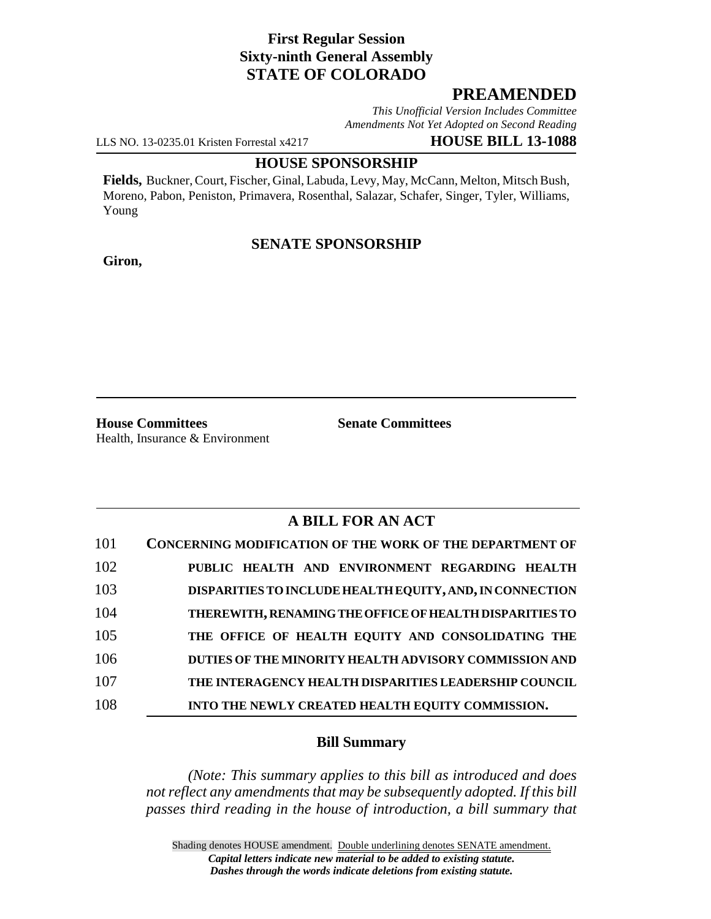# **First Regular Session Sixty-ninth General Assembly STATE OF COLORADO**

# **PREAMENDED**

*This Unofficial Version Includes Committee Amendments Not Yet Adopted on Second Reading*

LLS NO. 13-0235.01 Kristen Forrestal x4217 **HOUSE BILL 13-1088**

#### **HOUSE SPONSORSHIP**

**Fields,** Buckner, Court, Fischer, Ginal, Labuda, Levy, May, McCann, Melton, Mitsch Bush, Moreno, Pabon, Peniston, Primavera, Rosenthal, Salazar, Schafer, Singer, Tyler, Williams, Young

## **SENATE SPONSORSHIP**

**Giron,**

**House Committees Senate Committees** Health, Insurance & Environment

# **A BILL FOR AN ACT**

| 101 | <b>CONCERNING MODIFICATION OF THE WORK OF THE DEPARTMENT OF</b> |
|-----|-----------------------------------------------------------------|
| 102 | PUBLIC HEALTH AND ENVIRONMENT REGARDING HEALTH                  |
| 103 | DISPARITIES TO INCLUDE HEALTH EQUITY, AND, IN CONNECTION        |
| 104 | THEREWITH, RENAMING THE OFFICE OF HEALTH DISPARITIES TO         |
| 105 | THE OFFICE OF HEALTH EQUITY AND CONSOLIDATING THE               |
| 106 | DUTIES OF THE MINORITY HEALTH ADVISORY COMMISSION AND           |
| 107 | THE INTERAGENCY HEALTH DISPARITIES LEADERSHIP COUNCIL           |
| 108 | INTO THE NEWLY CREATED HEALTH EQUITY COMMISSION.                |

### **Bill Summary**

*(Note: This summary applies to this bill as introduced and does not reflect any amendments that may be subsequently adopted. If this bill passes third reading in the house of introduction, a bill summary that*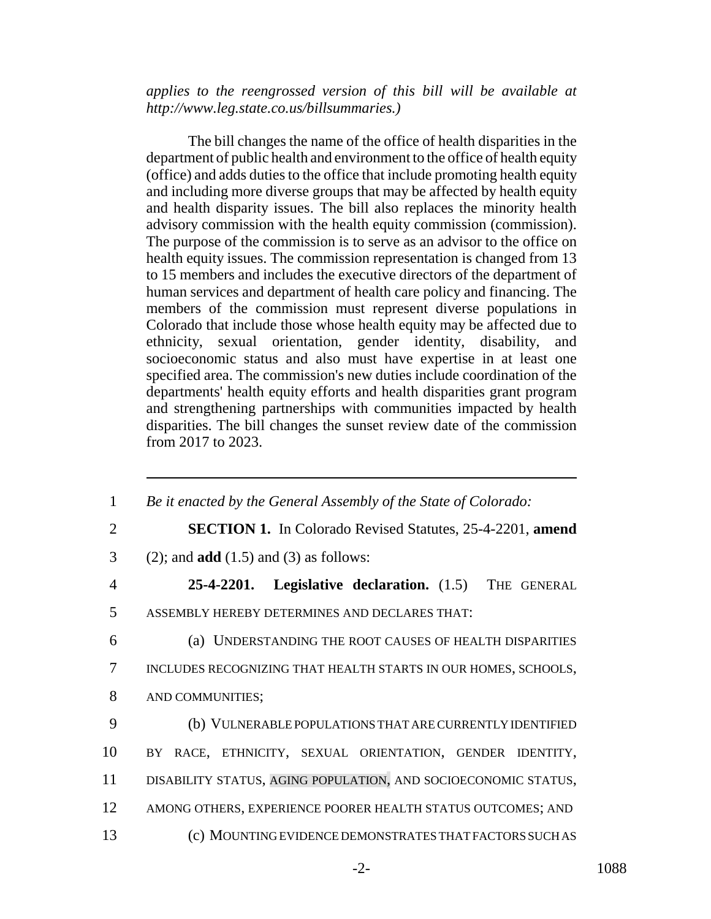*applies to the reengrossed version of this bill will be available at http://www.leg.state.co.us/billsummaries.)*

The bill changes the name of the office of health disparities in the department of public health and environment to the office of health equity (office) and adds duties to the office that include promoting health equity and including more diverse groups that may be affected by health equity and health disparity issues. The bill also replaces the minority health advisory commission with the health equity commission (commission). The purpose of the commission is to serve as an advisor to the office on health equity issues. The commission representation is changed from 13 to 15 members and includes the executive directors of the department of human services and department of health care policy and financing. The members of the commission must represent diverse populations in Colorado that include those whose health equity may be affected due to ethnicity, sexual orientation, gender identity, disability, and socioeconomic status and also must have expertise in at least one specified area. The commission's new duties include coordination of the departments' health equity efforts and health disparities grant program and strengthening partnerships with communities impacted by health disparities. The bill changes the sunset review date of the commission from 2017 to 2023.

| $\mathbf{1}$   | Be it enacted by the General Assembly of the State of Colorado:  |
|----------------|------------------------------------------------------------------|
| $\overline{2}$ | <b>SECTION 1.</b> In Colorado Revised Statutes, 25-4-2201, amend |
| 3              | $(2)$ ; and <b>add</b> $(1.5)$ and $(3)$ as follows:             |
| $\overline{4}$ | <b>Legislative declaration.</b> (1.5) THE GENERAL<br>25-4-2201.  |
| 5              | ASSEMBLY HEREBY DETERMINES AND DECLARES THAT:                    |
| 6              | (a) UNDERSTANDING THE ROOT CAUSES OF HEALTH DISPARITIES          |
| 7              | INCLUDES RECOGNIZING THAT HEALTH STARTS IN OUR HOMES, SCHOOLS,   |
| 8              | AND COMMUNITIES;                                                 |
| 9              | (b) VULNERABLE POPULATIONS THAT ARE CURRENTLY IDENTIFIED         |
| 10             | BY RACE, ETHNICITY, SEXUAL ORIENTATION, GENDER IDENTITY,         |
| 11             | DISABILITY STATUS, AGING POPULATION, AND SOCIOECONOMIC STATUS,   |
| 12             | AMONG OTHERS, EXPERIENCE POORER HEALTH STATUS OUTCOMES; AND      |
| 13             | (c) MOUNTING EVIDENCE DEMONSTRATES THAT FACTORS SUCH AS          |
|                |                                                                  |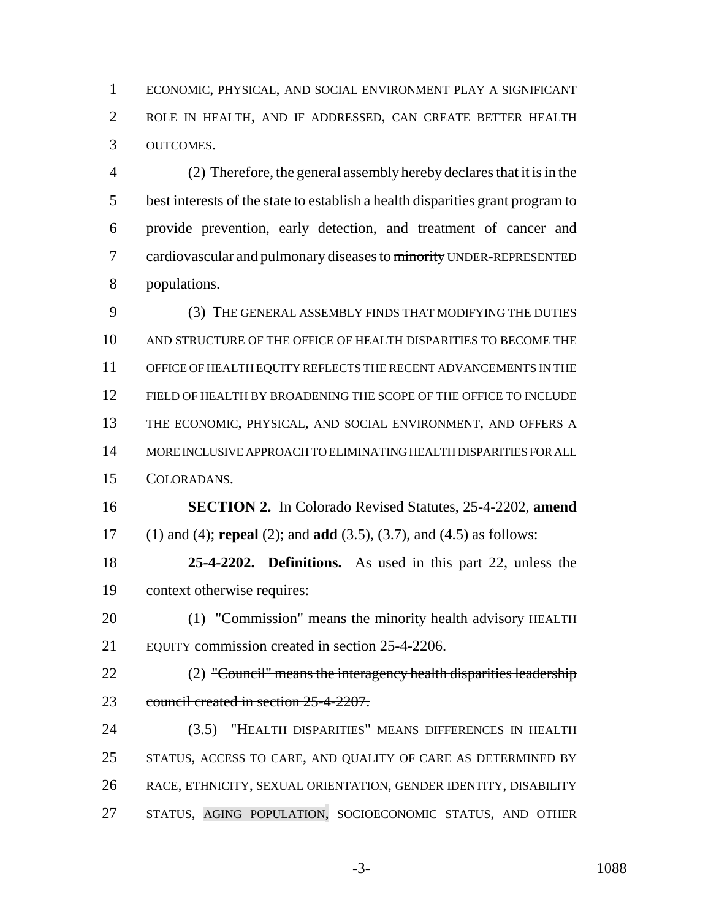ECONOMIC, PHYSICAL, AND SOCIAL ENVIRONMENT PLAY A SIGNIFICANT ROLE IN HEALTH, AND IF ADDRESSED, CAN CREATE BETTER HEALTH OUTCOMES.

 (2) Therefore, the general assembly hereby declares that it is in the best interests of the state to establish a health disparities grant program to provide prevention, early detection, and treatment of cancer and 7 cardiovascular and pulmonary diseases to minority UNDER-REPRESENTED populations.

 (3) THE GENERAL ASSEMBLY FINDS THAT MODIFYING THE DUTIES AND STRUCTURE OF THE OFFICE OF HEALTH DISPARITIES TO BECOME THE OFFICE OF HEALTH EQUITY REFLECTS THE RECENT ADVANCEMENTS IN THE FIELD OF HEALTH BY BROADENING THE SCOPE OF THE OFFICE TO INCLUDE THE ECONOMIC, PHYSICAL, AND SOCIAL ENVIRONMENT, AND OFFERS A MORE INCLUSIVE APPROACH TO ELIMINATING HEALTH DISPARITIES FOR ALL COLORADANS.

 **SECTION 2.** In Colorado Revised Statutes, 25-4-2202, **amend** (1) and (4); **repeal** (2); and **add** (3.5), (3.7), and (4.5) as follows:

 **25-4-2202. Definitions.** As used in this part 22, unless the context otherwise requires:

20 (1) "Commission" means the minority health advisory HEALTH EQUITY commission created in section 25-4-2206.

22 (2) "Council" means the interagency health disparities leadership 23 council created in section 25-4-2207.

 (3.5) "HEALTH DISPARITIES" MEANS DIFFERENCES IN HEALTH STATUS, ACCESS TO CARE, AND QUALITY OF CARE AS DETERMINED BY RACE, ETHNICITY, SEXUAL ORIENTATION, GENDER IDENTITY, DISABILITY STATUS, AGING POPULATION, SOCIOECONOMIC STATUS, AND OTHER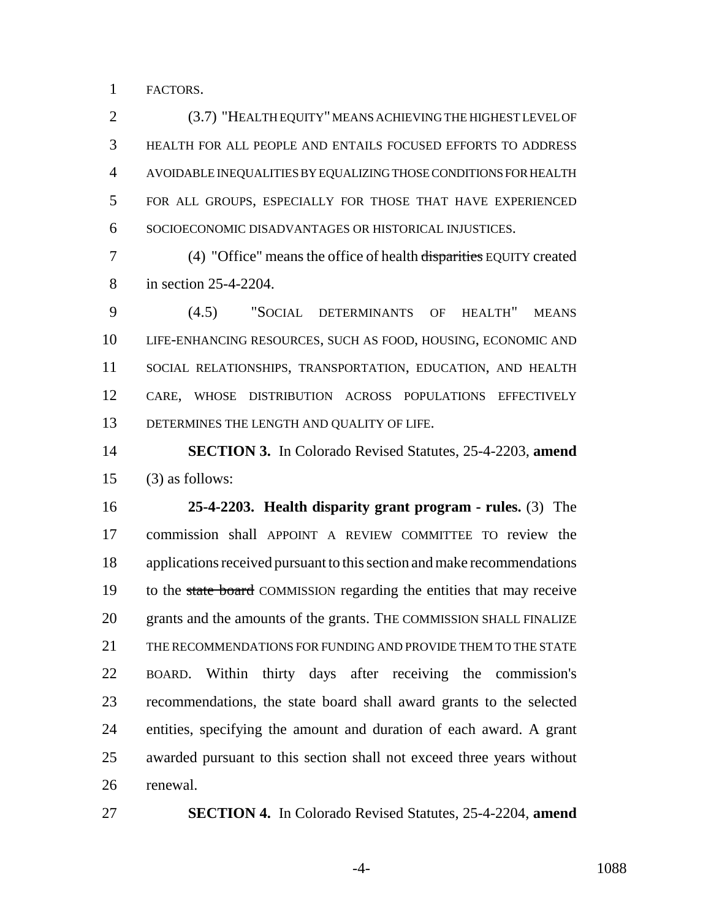FACTORS.

 (3.7) "HEALTH EQUITY" MEANS ACHIEVING THE HIGHEST LEVEL OF HEALTH FOR ALL PEOPLE AND ENTAILS FOCUSED EFFORTS TO ADDRESS AVOIDABLE INEQUALITIES BY EQUALIZING THOSE CONDITIONS FOR HEALTH FOR ALL GROUPS, ESPECIALLY FOR THOSE THAT HAVE EXPERIENCED SOCIOECONOMIC DISADVANTAGES OR HISTORICAL INJUSTICES.

 (4) "Office" means the office of health disparities EQUITY created in section 25-4-2204.

 (4.5) "SOCIAL DETERMINANTS OF HEALTH" MEANS LIFE-ENHANCING RESOURCES, SUCH AS FOOD, HOUSING, ECONOMIC AND SOCIAL RELATIONSHIPS, TRANSPORTATION, EDUCATION, AND HEALTH CARE, WHOSE DISTRIBUTION ACROSS POPULATIONS EFFECTIVELY DETERMINES THE LENGTH AND QUALITY OF LIFE.

 **SECTION 3.** In Colorado Revised Statutes, 25-4-2203, **amend** (3) as follows:

 **25-4-2203. Health disparity grant program - rules.** (3) The commission shall APPOINT A REVIEW COMMITTEE TO review the applications received pursuant to this section and make recommendations 19 to the state board COMMISSION regarding the entities that may receive grants and the amounts of the grants. THE COMMISSION SHALL FINALIZE THE RECOMMENDATIONS FOR FUNDING AND PROVIDE THEM TO THE STATE BOARD. Within thirty days after receiving the commission's recommendations, the state board shall award grants to the selected entities, specifying the amount and duration of each award. A grant awarded pursuant to this section shall not exceed three years without renewal.

**SECTION 4.** In Colorado Revised Statutes, 25-4-2204, **amend**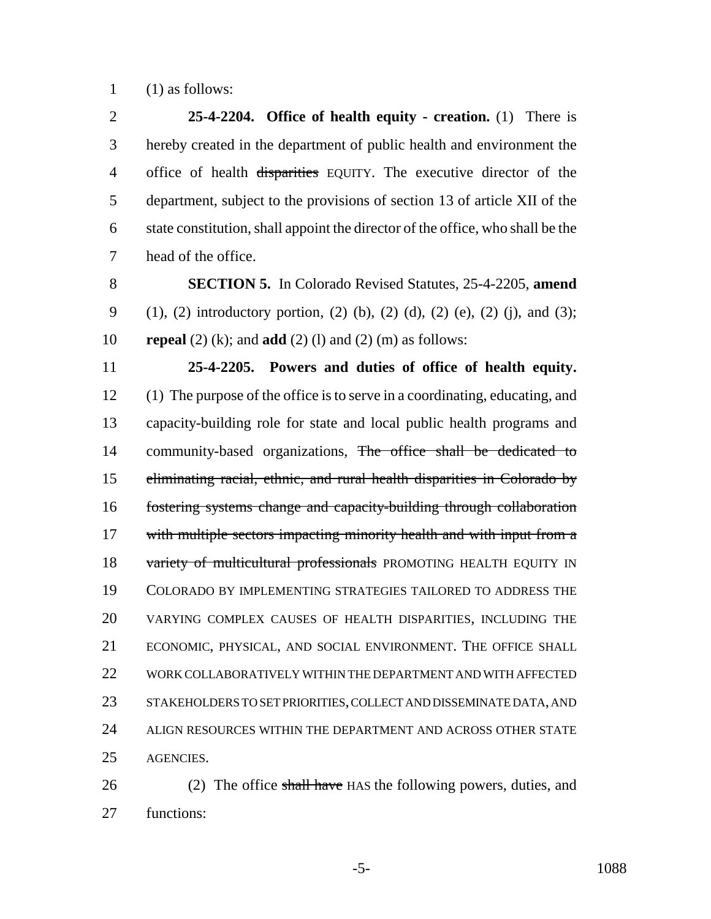(1) as follows:

 **25-4-2204. Office of health equity - creation.** (1) There is hereby created in the department of public health and environment the 4 office of health disparities EQUITY. The executive director of the department, subject to the provisions of section 13 of article XII of the state constitution, shall appoint the director of the office, who shall be the head of the office.

 **SECTION 5.** In Colorado Revised Statutes, 25-4-2205, **amend** (1), (2) introductory portion, (2) (b), (2) (d), (2) (e), (2) (j), and (3); **repeal** (2) (k); and **add** (2) (l) and (2) (m) as follows:

 **25-4-2205. Powers and duties of office of health equity.** (1) The purpose of the office is to serve in a coordinating, educating, and capacity-building role for state and local public health programs and 14 community-based organizations, The office shall be dedicated to eliminating racial, ethnic, and rural health disparities in Colorado by fostering systems change and capacity-building through collaboration 17 with multiple sectors impacting minority health and with input from a 18 variety of multicultural professionals PROMOTING HEALTH EQUITY IN COLORADO BY IMPLEMENTING STRATEGIES TAILORED TO ADDRESS THE VARYING COMPLEX CAUSES OF HEALTH DISPARITIES, INCLUDING THE ECONOMIC, PHYSICAL, AND SOCIAL ENVIRONMENT. THE OFFICE SHALL WORK COLLABORATIVELY WITHIN THE DEPARTMENT AND WITH AFFECTED STAKEHOLDERS TO SET PRIORITIES, COLLECT AND DISSEMINATE DATA, AND 24 ALIGN RESOURCES WITHIN THE DEPARTMENT AND ACROSS OTHER STATE AGENCIES.

26 (2) The office shall have HAS the following powers, duties, and functions:

-5- 1088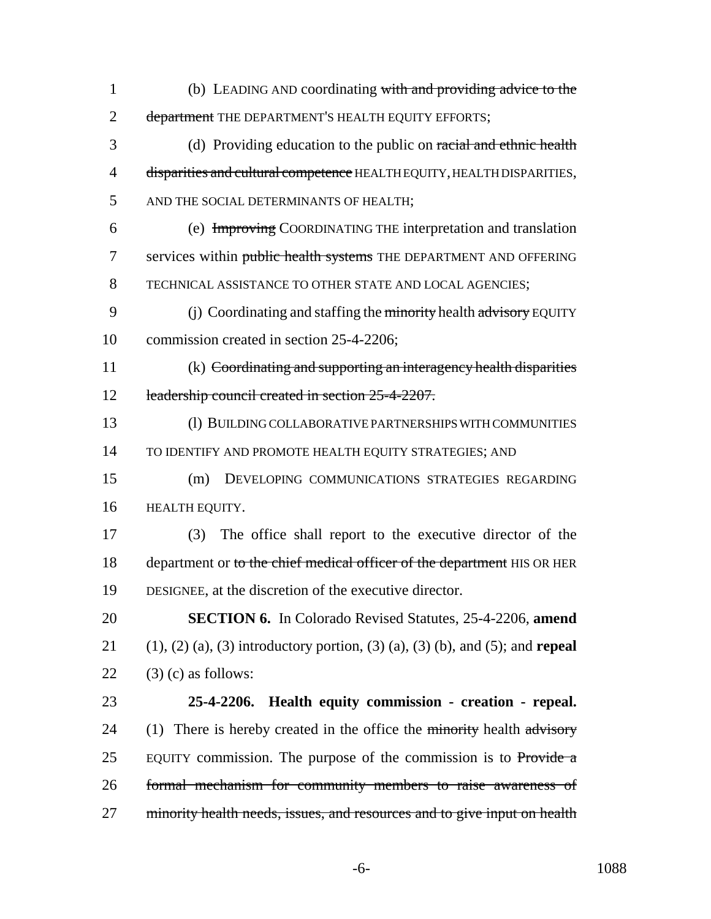(b) LEADING AND coordinating with and providing advice to the 2 department THE DEPARTMENT'S HEALTH EQUITY EFFORTS; (d) Providing education to the public on racial and ethnic health 4 disparities and cultural competence HEALTH EQUITY, HEALTH DISPARITIES, AND THE SOCIAL DETERMINANTS OF HEALTH; (e) Improving COORDINATING THE interpretation and translation 7 services within public health systems THE DEPARTMENT AND OFFERING TECHNICAL ASSISTANCE TO OTHER STATE AND LOCAL AGENCIES; 9 (j) Coordinating and staffing the minority health advisory EQUITY commission created in section 25-4-2206; (k) Coordinating and supporting an interagency health disparities 12 leadership council created in section 25-4-2207. (l) BUILDING COLLABORATIVE PARTNERSHIPS WITH COMMUNITIES 14 TO IDENTIFY AND PROMOTE HEALTH EQUITY STRATEGIES; AND (m) DEVELOPING COMMUNICATIONS STRATEGIES REGARDING HEALTH EQUITY. (3) The office shall report to the executive director of the 18 department or to the chief medical officer of the department HIS OR HER DESIGNEE, at the discretion of the executive director. **SECTION 6.** In Colorado Revised Statutes, 25-4-2206, **amend** (1), (2) (a), (3) introductory portion, (3) (a), (3) (b), and (5); and **repeal**  $(3)$  (c) as follows: **25-4-2206. Health equity commission - creation - repeal.** 24 (1) There is hereby created in the office the minority health  $\frac{1}{\text{advisory}}$ 25 EQUITY commission. The purpose of the commission is to Provide a formal mechanism for community members to raise awareness of 27 minority health needs, issues, and resources and to give input on health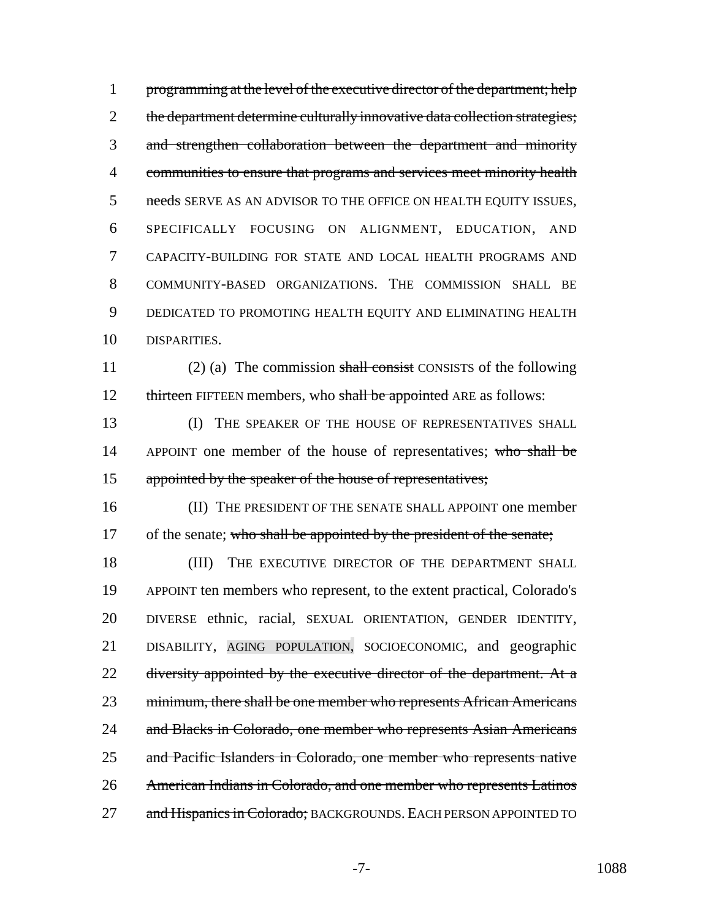1 programming at the level of the executive director of the department; help 2 the department determine culturally innovative data collection strategies; and strengthen collaboration between the department and minority communities to ensure that programs and services meet minority health 5 needs SERVE AS AN ADVISOR TO THE OFFICE ON HEALTH EQUITY ISSUES, SPECIFICALLY FOCUSING ON ALIGNMENT, EDUCATION, AND CAPACITY-BUILDING FOR STATE AND LOCAL HEALTH PROGRAMS AND COMMUNITY-BASED ORGANIZATIONS. THE COMMISSION SHALL BE DEDICATED TO PROMOTING HEALTH EQUITY AND ELIMINATING HEALTH DISPARITIES.

11 (2) (a) The commission shall consist CONSISTS of the following 12 thirteen FIFTEEN members, who shall be appointed ARE as follows:

13 (I) THE SPEAKER OF THE HOUSE OF REPRESENTATIVES SHALL 14 APPOINT one member of the house of representatives; who shall be 15 appointed by the speaker of the house of representatives;

16 (II) THE PRESIDENT OF THE SENATE SHALL APPOINT one member 17 of the senate; who shall be appointed by the president of the senate;

18 (III) THE EXECUTIVE DIRECTOR OF THE DEPARTMENT SHALL 19 APPOINT ten members who represent, to the extent practical, Colorado's 20 DIVERSE ethnic, racial, SEXUAL ORIENTATION, GENDER IDENTITY, 21 DISABILITY, AGING POPULATION, SOCIOECONOMIC, and geographic 22 diversity appointed by the executive director of the department. At a 23 minimum, there shall be one member who represents African Americans 24 and Blacks in Colorado, one member who represents Asian Americans 25 and Pacific Islanders in Colorado, one member who represents native 26 American Indians in Colorado, and one member who represents Latinos 27 and Hispanics in Colorado; BACKGROUNDS. EACH PERSON APPOINTED TO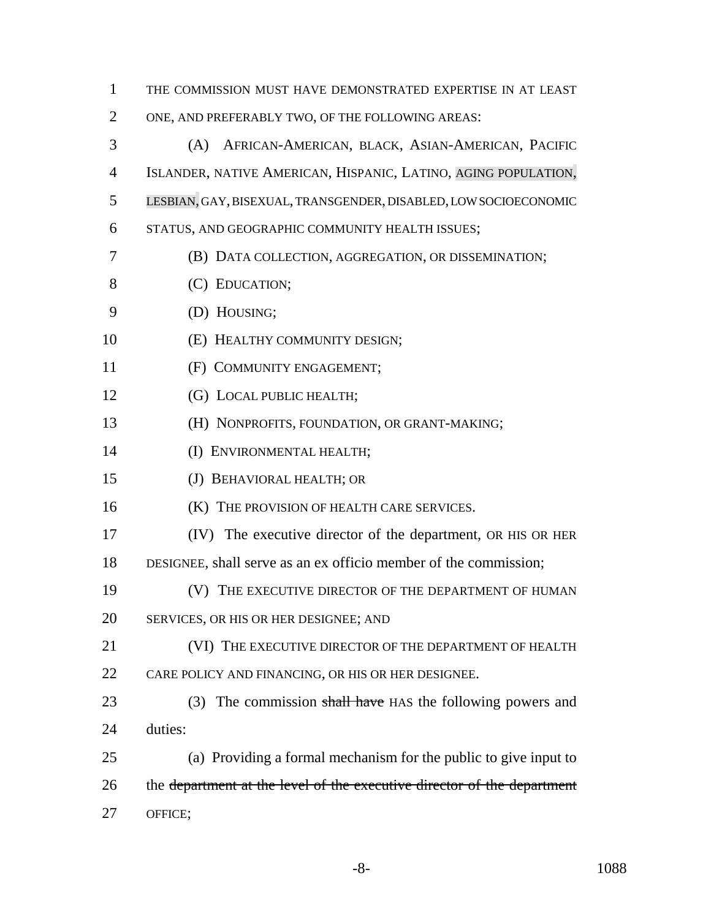| $\mathbf{1}$   | THE COMMISSION MUST HAVE DEMONSTRATED EXPERTISE IN AT LEAST             |
|----------------|-------------------------------------------------------------------------|
| 2              | ONE, AND PREFERABLY TWO, OF THE FOLLOWING AREAS:                        |
| 3              | AFRICAN-AMERICAN, BLACK, ASIAN-AMERICAN, PACIFIC<br>(A)                 |
| $\overline{4}$ | ISLANDER, NATIVE AMERICAN, HISPANIC, LATINO, AGING POPULATION,          |
| 5              | LESBIAN, GAY, BISEXUAL, TRANSGENDER, DISABLED, LOW SOCIOECONOMIC        |
| 6              | STATUS, AND GEOGRAPHIC COMMUNITY HEALTH ISSUES;                         |
| 7              | (B) DATA COLLECTION, AGGREGATION, OR DISSEMINATION;                     |
| 8              | (C) EDUCATION;                                                          |
| 9              | (D) HOUSING;                                                            |
| 10             | (E) HEALTHY COMMUNITY DESIGN;                                           |
| 11             | (F) COMMUNITY ENGAGEMENT;                                               |
| 12             | (G) LOCAL PUBLIC HEALTH;                                                |
| 13             | (H) NONPROFITS, FOUNDATION, OR GRANT-MAKING;                            |
| 14             | (I) ENVIRONMENTAL HEALTH;                                               |
| 15             | (J) BEHAVIORAL HEALTH; OR                                               |
| 16             | (K) THE PROVISION OF HEALTH CARE SERVICES.                              |
| 17             | (IV) The executive director of the department, OR HIS OR HER            |
| 18             | DESIGNEE, shall serve as an ex officio member of the commission;        |
| 19             | (V) THE EXECUTIVE DIRECTOR OF THE DEPARTMENT OF HUMAN                   |
| 20             | SERVICES, OR HIS OR HER DESIGNEE; AND                                   |
| 21             | (VI) THE EXECUTIVE DIRECTOR OF THE DEPARTMENT OF HEALTH                 |
| 22             | CARE POLICY AND FINANCING, OR HIS OR HER DESIGNEE.                      |
| 23             | (3) The commission shall have HAS the following powers and              |
| 24             | duties:                                                                 |
| 25             | (a) Providing a formal mechanism for the public to give input to        |
| 26             | the department at the level of the executive director of the department |
| 27             | OFFICE;                                                                 |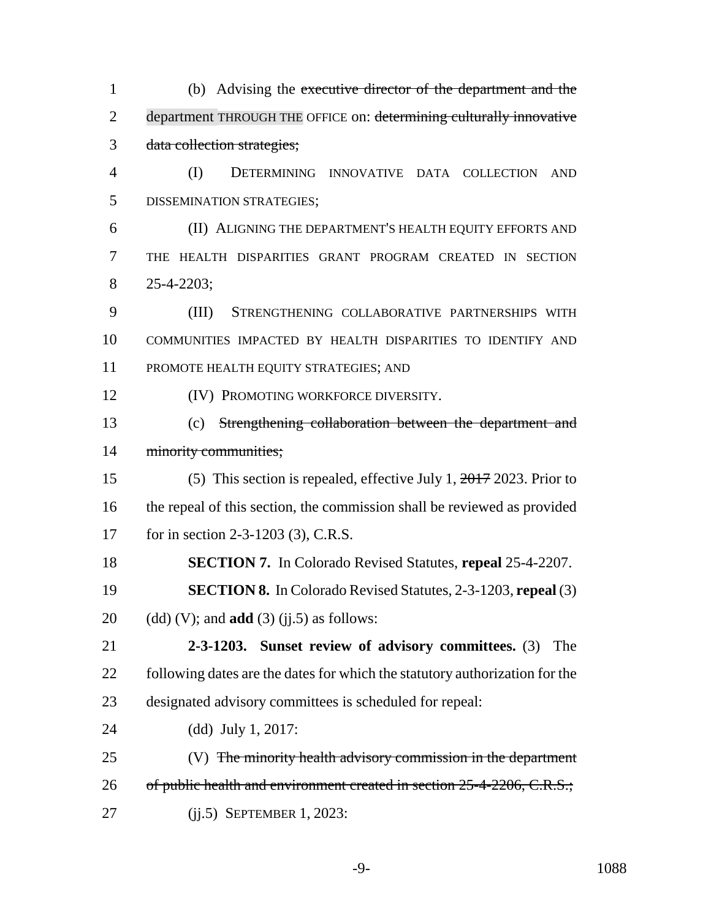(b) Advising the executive director of the department and the 2 department THROUGH THE OFFICE on: determining culturally innovative data collection strategies; (I) DETERMINING INNOVATIVE DATA COLLECTION AND DISSEMINATION STRATEGIES; (II) ALIGNING THE DEPARTMENT'S HEALTH EQUITY EFFORTS AND THE HEALTH DISPARITIES GRANT PROGRAM CREATED IN SECTION 25-4-2203; (III) STRENGTHENING COLLABORATIVE PARTNERSHIPS WITH COMMUNITIES IMPACTED BY HEALTH DISPARITIES TO IDENTIFY AND PROMOTE HEALTH EQUITY STRATEGIES; AND **(IV) PROMOTING WORKFORCE DIVERSITY.**  (c) Strengthening collaboration between the department and 14 minority communities; (5) This section is repealed, effective July 1, 2017 2023. Prior to the repeal of this section, the commission shall be reviewed as provided 17 for in section 2-3-1203 (3), C.R.S. **SECTION 7.** In Colorado Revised Statutes, **repeal** 25-4-2207. **SECTION 8.** In Colorado Revised Statutes, 2-3-1203, **repeal** (3) (dd) (V); and **add** (3) (jj.5) as follows: **2-3-1203. Sunset review of advisory committees.** (3) The 22 following dates are the dates for which the statutory authorization for the designated advisory committees is scheduled for repeal: (dd) July 1, 2017: 25 (V) The minority health advisory commission in the department 26 of public health and environment created in section 25-4-2206, C.R.S.; (jj.5) SEPTEMBER 1, 2023: